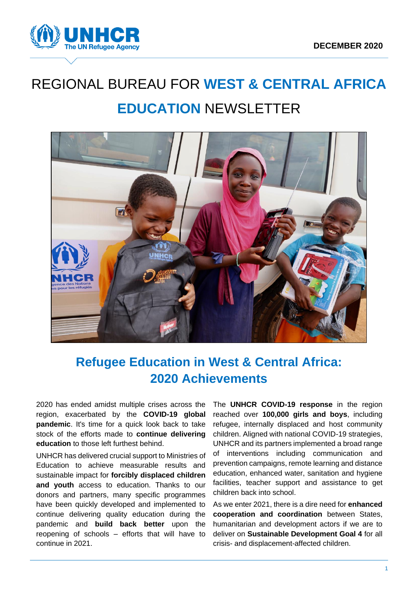

# REGIONAL BUREAU FOR **WEST & CENTRAL AFRICA EDUCATION** NEWSLETTER



## **Refugee Education in West & Central Africa: 2020 Achievements**

2020 has ended amidst multiple crises across the region, exacerbated by the **COVID-19 global pandemic**. It's time for a quick look back to take stock of the efforts made to **continue delivering education** to those left furthest behind.

UNHCR has delivered crucial support to Ministries of Education to achieve measurable results and sustainable impact for **forcibly displaced children and youth** access to education. Thanks to our donors and partners, many specific programmes have been quickly developed and implemented to continue delivering quality education during the pandemic and **build back better** upon the reopening of schools – efforts that will have to continue in 2021.

The **UNHCR COVID-19 response** in the region reached over **100,000 girls and boys**, including refugee, internally displaced and host community children. Aligned with national COVID-19 strategies, UNHCR and its partners implemented a broad range of interventions including communication and prevention campaigns, remote learning and distance education, enhanced water, sanitation and hygiene facilities, teacher support and assistance to get children back into school.

As we enter 2021, there is a dire need for **enhanced cooperation and coordination** between States, humanitarian and development actors if we are to deliver on **Sustainable Development Goal 4** for all crisis- and displacement-affected children.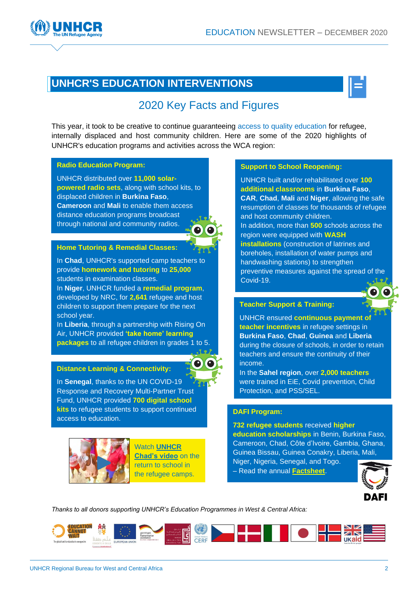



## [2020](https://data2.unhcr.org/en/documents/details/83328) Key Facts and Figures

This year, it took to be creative to continue guaranteeing access to quality education for refugee, internally displaced and host community children. Here are some of the 2020 highlights of UNHCR's education programs and activities across the WCA region:

#### **Radio Education Program:**

UNHCR distributed over **11,000 solarpowered radio sets**, along with school kits, to displaced children in **Burkina Faso**, **Cameroon** and **Mali** to enable them access distance education programs broadcast through national and community radios.



#### **Home Tutoring & Remedial Classes:**

In **Chad**, UNHCR's supported camp teachers to provide **homework and tutoring** to **25,000** students in examination classes.

In **Niger**, UNHCR funded a **remedial program**, developed by NRC, for **2,641** refugee and host children to support them prepare for the next school year.

In **Liberia**, through a partnership with Rising On Air, UNHCR provided **'take home' learning packages** to all refugee children in grades 1 to 5.

#### **Distance Learning & Connectivity:**

In **Senegal**, thanks to the UN COVID-19 Response and Recovery Multi-Partner Trust Fund, UNHCR provided **700 digital school kits** to refugee students to support continued access to education.



Watch **[UNHCR](https://twitter.com/UnhcrTchad/status/1339587969364029445)  [Chad's video](https://twitter.com/UnhcrTchad/status/1339587969364029445)** on the return to school in the refugee camps.

#### **Support to School Reopening:**

UNHCR built and/or rehabilitated over **100 additional classrooms** in **Burkina Faso**, **CAR**, **Chad**, **Mali** and **Niger**, allowing the safe resumption of classes for thousands of refugee and host community children. In addition, more than **500** schools across the region were equipped with **WASH installations** (construction of latrines and boreholes, installation of water pumps and handwashing stations) to strengthen preventive measures against the spread of the Covid-19.

#### **Teacher Support & Training:**

UNHCR ensured **continuous payment of teacher incentives** in refugee settings in **Burkina Faso**, **Chad**, **Guinea** and **Liberia** during the closure of schools, in order to retain teachers and ensure the continuity of their income.

In the **Sahel region**, over **2,000 teachers** were trained in EiE, Covid prevention, Child Protection, and PSS/SEL.

#### **[DAFI Program:](https://www.unhcr.org/dafi-scholarships.html)**

**732 refugee students** received **higher education scholarships** in Benin, Burkina Faso, Cameroon, Chad, Côte d'Ivoire, Gambia, Ghana, Guinea Bissau, Guinea Conakry, Liberia, Mali,

Niger, Nigeria, Senegal, and Togo.

– Read the annual **[Factsheet](https://data.unhcr.org/en/documents/details/84091)**.



*Thanks to all donors supporting UNHCR's Education Programmes in West & Central Africa:*

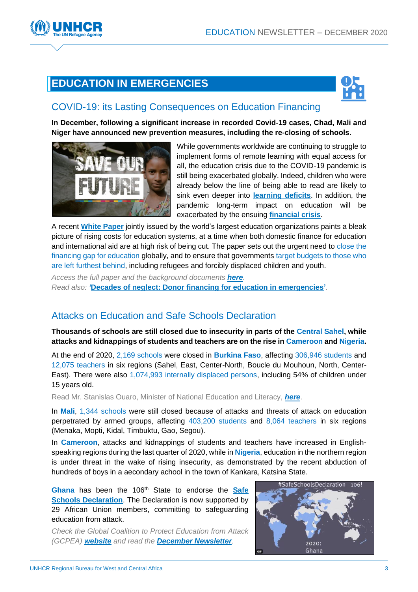



### COVID-19: its Lasting Consequences on Education Financing

**In December, following a significant increase in recorded Covid-19 cases, Chad, Mali and Niger have announced new prevention measures, including the re-closing of schools.**



While governments worldwide are continuing to struggle to implement forms of remote learning with equal access for all, the education crisis due to the COVID-19 pandemic is still being exacerbated globally. Indeed, children who were already below the line of being able to read are likely to sink even deeper into **[learning deficits](https://www.globalpartnership.org/blog/pandemic-related-school-closures-were-unprecedented-they-are-not-biggest-threat-childrens)**. In addition, the pandemic long-term impact on education will be exacerbated by the ensuing **[financial crisis](https://www.globalpartnership.org/blog/education-funding-philanthropy-and-covid-19-what-next)**.

A recent **[White Paper](https://saveourfuture.world/white-paper/)** jointly issued by the world's largest education organizations paints a bleak picture of rising costs for education systems, at a time when both domestic finance for education and international aid are at high risk of being cut. The paper sets out the urgent need to close the financing gap for education globally, and to ensure that governments target budgets to those who are left furthest behind, including refugees and forcibly displaced children and youth.

*Access the full paper and the background documents [here](https://saveourfuture.world/white-paper/). Read also: '***[Decades of neglect: Donor financing for education in emergencies'](https://donortracker.org/insights/decades-neglect-donor-financing-education-emergencies)***.*

## Attacks on Education and Safe Schools Declaration

**Thousands of schools are still closed due to insecurity in parts of the Central Sahel, while attacks and kidnappings of students and teachers are on the rise in Cameroon and Nigeria.** 

At the end of 2020, 2,169 schools were closed in **Burkina Faso**, affecting 306,946 students and 12,075 teachers in six regions (Sahel, East, Center-North, Boucle du Mouhoun, North, Center-East). There were also 1,074,993 internally displaced persons, including 54% of children under 15 years old.

Read Mr. Stanislas Ouaro, Minister of National Education and Literacy, *[here](https://ecw.exposure.co/interview-with-he-mr-stanislas-ouaro)*.

In **Mali**, 1,344 schools were still closed because of attacks and threats of attack on education perpetrated by armed groups, affecting 403,200 students and 8,064 teachers in six regions (Menaka, Mopti, Kidal, Timbuktu, Gao, Segou).

In **Cameroon**, attacks and kidnappings of students and teachers have increased in Englishspeaking regions during the last quarter of 2020, while in **Nigeria**, education in the northern region is under threat in the wake of rising insecurity, as demonstrated by the recent abduction of hundreds of boys in a aecondary achool in the town of Kankara, Katsina State.

Ghana has been the 106<sup>th</sup> State to endorse the **Safe [Schools Declaration](https://ssd.protectingeducation.org/)**. The Declaration is now supported by 29 African Union members, committing to safeguarding education from attack.

*Check the Global Coalition to Protect Education from Attack (GCPEA) [website](https://protectingeducation.org/) and read the [December Newsletter](https://mailchi.mp/protectingeducation/newsletter-2020?e=1fae4a89d2).*

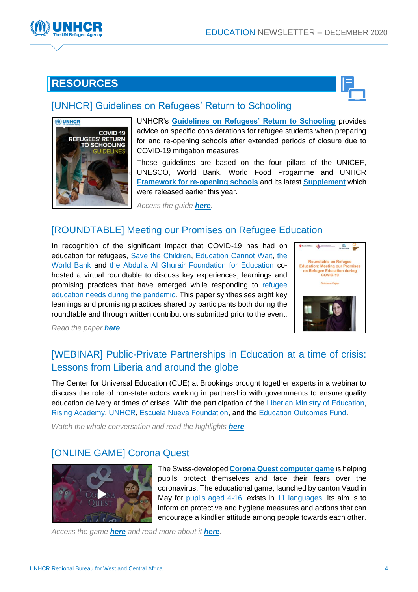

## **RESOURCES**



## [\[UNHCR\] Guidelines on Refugees' Return to Schooling](https://www.unhcr.org/5fdb7e724/covid-19-refugees-return-schooling-guidelines-2020)



UNHCR's **[Guidelines on Refugees' Return to Schooling](https://www.unhcr.org/5fdb7e724/covid-19-refugees-return-schooling-guidelines-2020)** provides advice on specific considerations for refugee students when preparing for and re-opening schools after extended periods of closure due to COVID-19 mitigation measures.

These guidelines are based on the four pillars of the UNICEF, UNESCO, World Bank, World Food Progamme and UNHCR **[Framework for re-opening schools](https://www.unicef.org/sites/default/files/2020-06/Framework-for-reopening-schools-2020.pdf)** and its latest **[Supplement](https://www.unicef.org/media/83026/file/Emerging-lessons-from-countries-experiences-of-reopening-schools-2020.pdf)** which were released earlier this year.

*Access the guide [here](https://www.unhcr.org/5fdb7e724/covid-19-refugees-return-schooling-guidelines-2020).*

## [\[ROUNDTABLE\] Meeting our Promises on Refugee Education](https://resourcecentre.savethechildren.net/library/roundtable-refugee-education-meeting-our-promises-refugee-education-during-covid-19)

In recognition of the significant impact that COVID-19 has had on education for refugees, Save the Children, Education Cannot Wait, the World Bank and the Abdulla Al Ghurair Foundation for Education cohosted a virtual roundtable to discuss key experiences, learnings and promising practices that have emerged while responding to refugee education needs during the pandemic. This paper synthesises eight key learnings and promising practices shared by participants both during the roundtable and through written contributions submitted prior to the event.



*Read the paper [here](https://resourcecentre.savethechildren.net/library/roundtable-refugee-education-meeting-our-promises-refugee-education-during-covid-19).*

## [\[WEBINAR\] Public-Private Partnerships in Education at a time of crisis:](https://www.brookings.edu/events/public-private-partnerships-in-education-at-a-time-of-crisis-lessons-from-liberia-and-around-the-globe/)  [Lessons from Liberia and around the globe](https://www.brookings.edu/events/public-private-partnerships-in-education-at-a-time-of-crisis-lessons-from-liberia-and-around-the-globe/)

The Center for Universal Education (CUE) at Brookings brought together experts in a webinar to discuss the role of non-state actors working in partnership with governments to ensure quality education delivery at times of crises. With the participation of the Liberian Ministry of Education, Rising Academy, UNHCR, Escuela Nueva Foundation, and the Education Outcomes Fund.

*Watch the whole conversation and read the highlights [here](https://www.brookings.edu/events/public-private-partnerships-in-education-at-a-time-of-crisis-lessons-from-liberia-and-around-the-globe/).*

## [\[ONLINE GAME\] Corona Quest](https://coronaquest.game/)



The Swiss-developed **Corona [Quest computer game](https://coronaquest.game/about)** is helping pupils protect themselves and face their fears over the coronavirus. The educational game, launched by canton Vaud in May for pupils aged 4-16, exists in 11 languages. Its aim is to inform on protective and hygiene measures and actions that can encourage a kindlier attitude among people towards each other.

*Access the game [here](https://coronaquest.game/) and read more about it [here](https://www.swissinfo.ch/eng/playing-a-game-to-defeat-the-virus/46072686).*